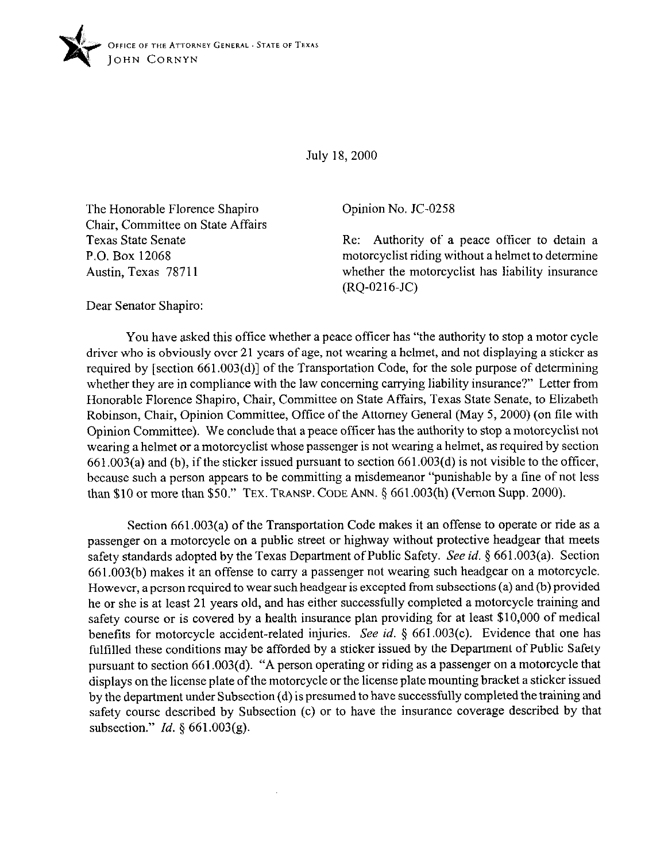

July 18, 2000

The Honorable Florence Shapiro Chair, Committee on State Affairs Texas State Senate P.O. Box 12068 Austin, Texas 78711

Opinion No. JC-0258

Re: Authority of a peace officer to detain a motorcyclist riding without a helmet to determine whether the motorcyclist has liability insurance (RQ-0216.JC)

Dear Senator Shapiro:

You have asked this office whether a peace officer has "the authority to stop a motor cycle driver who is obviously over 21 years of age, not wearing a helmet, and not displaying a sticker as required by [section 661.003(d)] of the Transportation Code, for the sole purpose of determining whether they are in compliance with the law concerning carrying liability insurance?" Letter from Honorable Florence Shapiro, Chair, Committee on State Affairs, Texas State Senate, to Elizabeth Robinson, Chair, Opinion Committee, Office of the Attorney General (May 5,200O) (on file with Opinion Committee). We conclude that a peace officer has the authority to stop amotorcyclist not wearing a helmet or a motorcyclist whose passenger is not wearing a helmet, as required by section  $661.003(a)$  and (b), if the sticker issued pursuant to section  $661.003(d)$  is not visible to the officer, because such a person appears to be committing a misdemeanor "punishable by a tine of not less than \$10 or more than \$50." TEX. TRANSP. CODE ANN. 5 661.003(h) (Vernon Supp. 2000).

Section 661.003(a) of the Transportation Code makes it an offense to operate or ride as a passenger on a motorcycle on a public street or highway without protective headgear that meets safety standards adopted by the Texas Department of Public Safety. See *id.* 5 661.003(a). Section 661.003(b) makes it an offense to carry a passenger not wearing such headgear on a motorcycle. However, a person required to wear such headgear is excepted from subsections (a) and(b) provided he or she is at least 21 years old, and has either successfully completed a motorcycle training and safety course or is covered by a health insurance plan providing for at least \$10,000 of medical benefits for motorcycle accident-related injuries. See *id.* 5 661.003(c). Evidence that one has fulfilled these conditions may be afforded by a sticker issued by the Department of Public Safety pursuant to section 661.003(d). "A person operating or riding as a passenger on a motorcycle that displays on the license plate of the motorcycle or the license plate mounting bracket a sticker issued by the department under Subsection(d) is presumed to have successfully completed the training and safety course described by Subsection (c) or to have the insurance coverage described by that subsection." *Id.* § 661.003(g).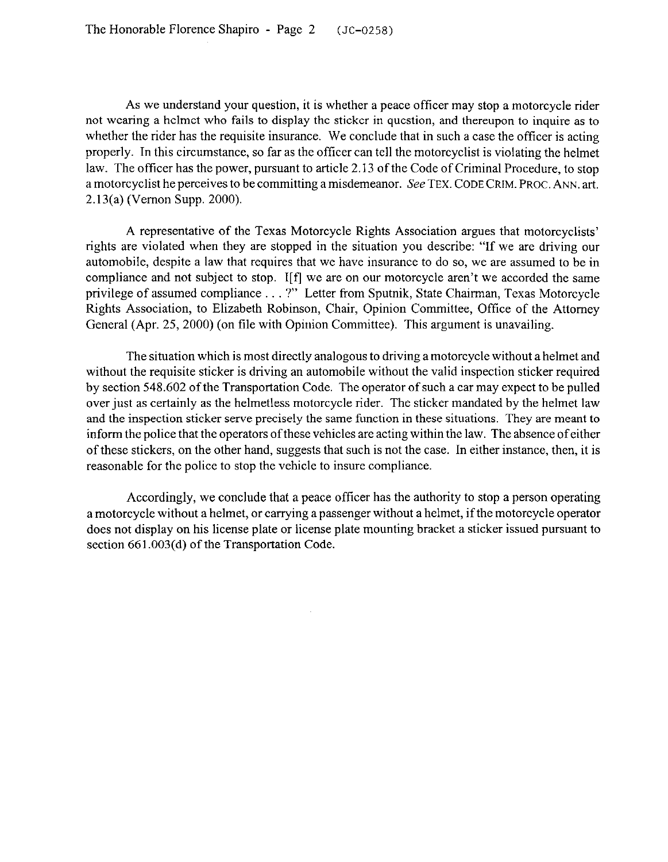As we understand your question, it is whether a peace officer may stop a motorcycle rider not wearing a helmet who fails to display the sticker in question, and thereupon to inquire as to whether the rider has the requisite insurance. We conclude that in such a case the officer is acting properly. In this circumstance, so far as the officer can tell the motorcyclist is violating the helmet law. The officer has the power, pursuant to article 2.13 of the Code of Criminal Procedure, to stop a motorcyclist he perceives to be committing a misdemeanor. **See TEX. CODECRIM. PROC. ANN.** art. 2.13(a) (Vernon Supp. 2000).

A representative of the Texas Motorcycle Rights Association argues that motorcyclists' rights are violated when they are stopped in the situation you describe: "If we are driving our automobile, despite a law that requires that we have insurance to do so, we are assumed to be in compliance and not subject to stop. If f we are on our motorcycle aren't we accorded the same privilege of assumed compliance . . . ?" Letter from Sputnik, State Chairman, Texas Motorcycle Rights Association, to Elizabeth Robinson, Chair, Opinion Committee, Oftice of the Attorney General (Apr. 25, 2000) (on tile with Opinion Committee). This argument is unavailing.

The situation which is most directly analogous to driving a motorcycle without a helmet and without the requisite sticker is driving an automobile without the valid inspection sticker required by section 548.602 of the Transportation Code. The operator of such a car may expect to be pulled over just as certainly as the helmetless motorcycle rider. The sticker mandated by the helmet law and the inspection sticker serve precisely the same function in these situations. They are meant to inform the police that the operators of these vehicles are acting within the law. The absence of either of these stickers, on the other hand, suggests that such is not the case. In either instance, then, it is reasonable for the police to stop the vehicle to insure compliance.

Accordingly, we conclude that a peace officer has the authority to stop a person operating a motorcycle without a helmet, or carrying a passenger without a helmet, if the motorcycle operator does not display on his license plate or license plate mounting bracket a sticker issued pursuant to section 661.003(d) of the Transportation Code.